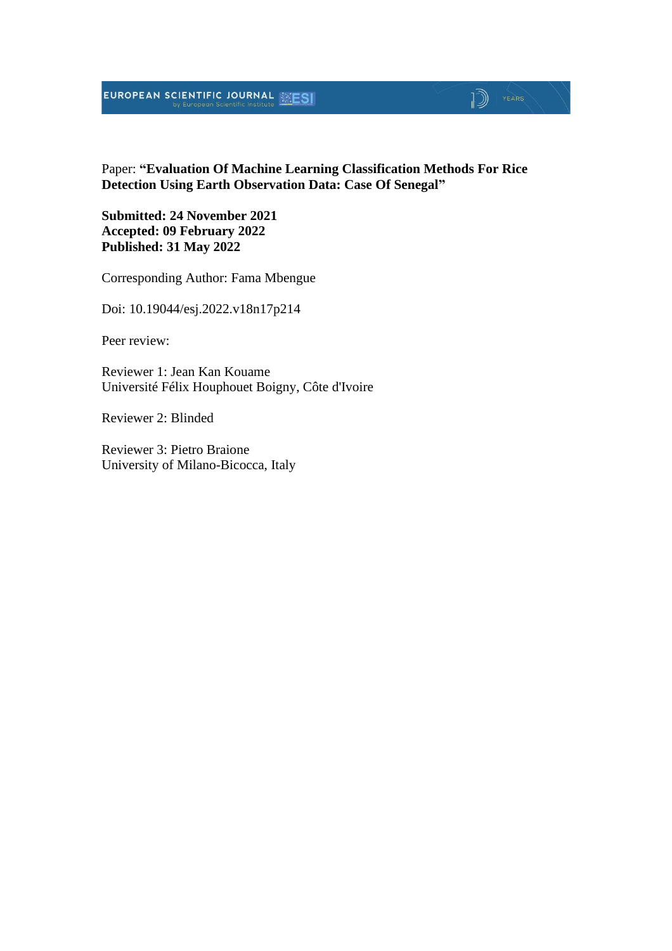## **EUROPEAN SCIENTIFIC JOURNAL EXESI**

# Paper: **"Evaluation Of Machine Learning Classification Methods For Rice**

 $\mathbb{D}$  YEARS

**Detection Using Earth Observation Data: Case Of Senegal"**

**Submitted: 24 November 2021 Accepted: 09 February 2022 Published: 31 May 2022**

Corresponding Author: Fama Mbengue

Doi: 10.19044/esj.2022.v18n17p214

Peer review:

Reviewer 1: Jean Kan Kouame Université Félix Houphouet Boigny, Côte d'Ivoire

Reviewer 2: Blinded

Reviewer 3: Pietro Braione University of Milano-Bicocca, Italy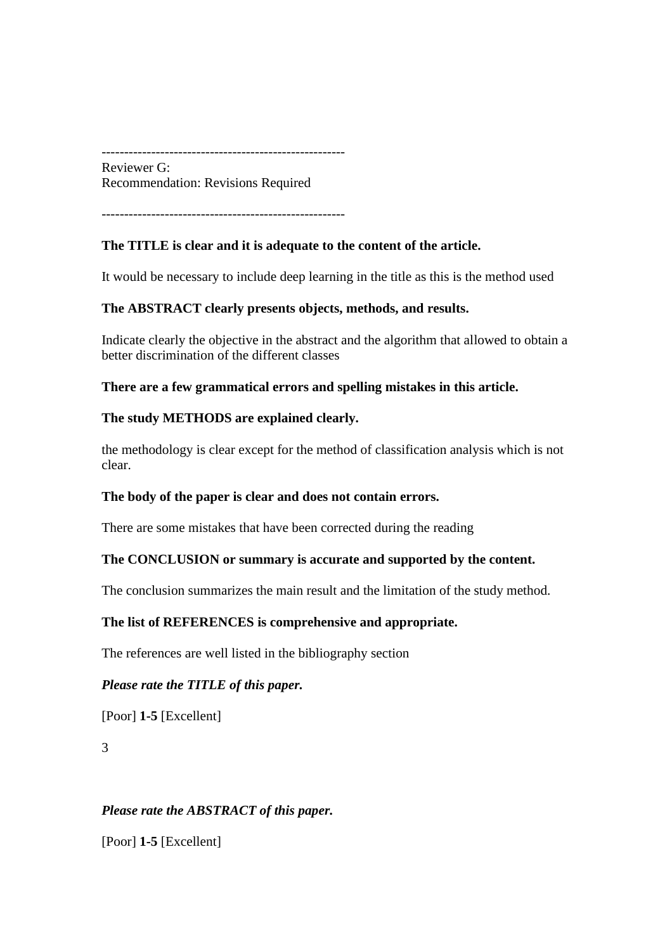------------------------------------------------------

Reviewer G: Recommendation: Revisions Required

------------------------------------------------------

## **The TITLE is clear and it is adequate to the content of the article.**

It would be necessary to include deep learning in the title as this is the method used

### **The ABSTRACT clearly presents objects, methods, and results.**

Indicate clearly the objective in the abstract and the algorithm that allowed to obtain a better discrimination of the different classes

**There are a few grammatical errors and spelling mistakes in this article.**

### **The study METHODS are explained clearly.**

the methodology is clear except for the method of classification analysis which is not clear.

### **The body of the paper is clear and does not contain errors.**

There are some mistakes that have been corrected during the reading

### **The CONCLUSION or summary is accurate and supported by the content.**

The conclusion summarizes the main result and the limitation of the study method.

### **The list of REFERENCES is comprehensive and appropriate.**

The references are well listed in the bibliography section

### *Please rate the TITLE of this paper.*

[Poor] **1-5** [Excellent]

3

### *Please rate the ABSTRACT of this paper.*

[Poor] **1-5** [Excellent]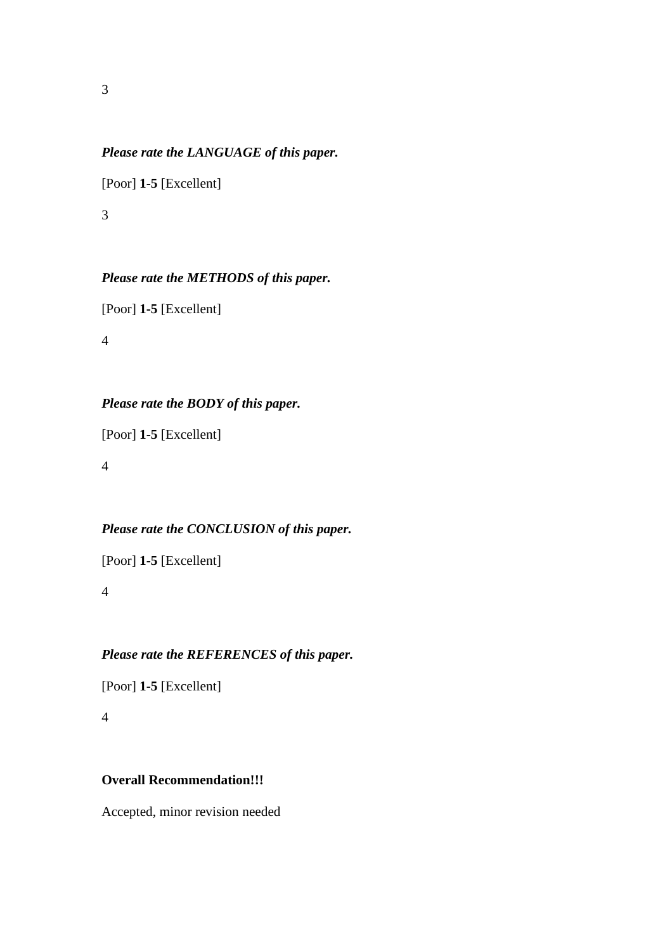#### *Please rate the LANGUAGE of this paper.*

[Poor] **1-5** [Excellent]

3

### *Please rate the METHODS of this paper.*

[Poor] **1-5** [Excellent]

4

## *Please rate the BODY of this paper.*

[Poor] **1-5** [Excellent]

4

## *Please rate the CONCLUSION of this paper.*

[Poor] **1-5** [Excellent]

4

## *Please rate the REFERENCES of this paper.*

[Poor] **1-5** [Excellent]

4

#### **Overall Recommendation!!!**

Accepted, minor revision needed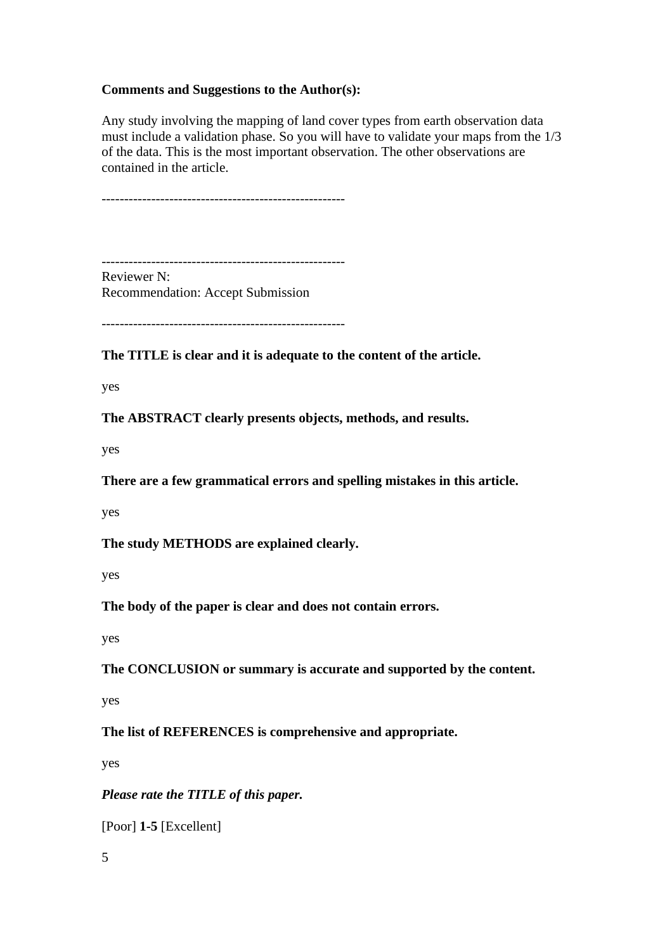### **Comments and Suggestions to the Author(s):**

Any study involving the mapping of land cover types from earth observation data must include a validation phase. So you will have to validate your maps from the 1/3 of the data. This is the most important observation. The other observations are contained in the article.

------------------------------------------------------

------------------------------------------------------ Reviewer N: Recommendation: Accept Submission

------------------------------------------------------

**The TITLE is clear and it is adequate to the content of the article.**

yes

**The ABSTRACT clearly presents objects, methods, and results.**

yes

**There are a few grammatical errors and spelling mistakes in this article.**

yes

**The study METHODS are explained clearly.**

yes

**The body of the paper is clear and does not contain errors.**

yes

**The CONCLUSION or summary is accurate and supported by the content.**

yes

**The list of REFERENCES is comprehensive and appropriate.**

yes

*Please rate the TITLE of this paper.*

[Poor] **1-5** [Excellent]

5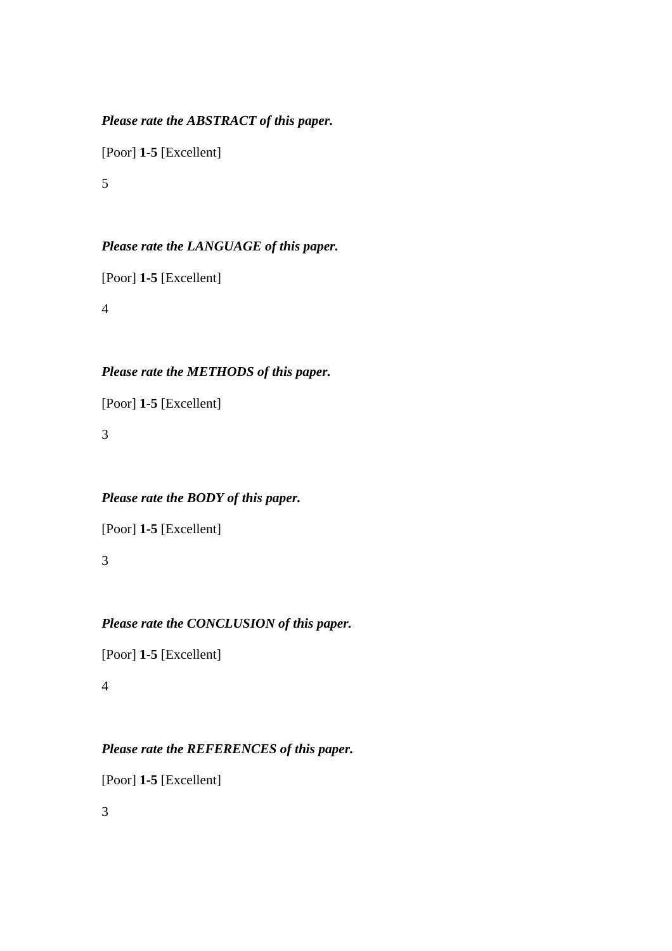## *Please rate the ABSTRACT of this paper.*

[Poor] **1-5** [Excellent]

5

## *Please rate the LANGUAGE of this paper.*

[Poor] **1-5** [Excellent]

4

## *Please rate the METHODS of this paper.*

[Poor] **1-5** [Excellent]

3

## *Please rate the BODY of this paper.*

[Poor] **1-5** [Excellent]

3

## *Please rate the CONCLUSION of this paper.*

[Poor] **1-5** [Excellent]

4

## *Please rate the REFERENCES of this paper.*

[Poor] **1-5** [Excellent]

3